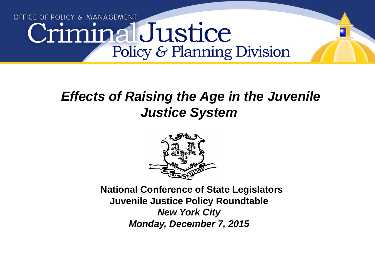# OFFICE OF POLICY & MANAGEMENT CriminalJustice Policy & Planning Division

# *Effects of Raising the Age in the Juvenile Justice System*



**National Conference of State Legislators Juvenile Justice Policy Roundtable**  *New York City Monday, December 7, 2015*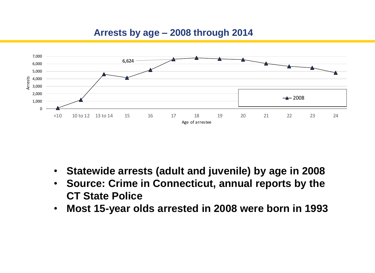## **Arrests by age – 2008 through 2014**



- **Statewide arrests (adult and juvenile) by age in 2008**
- **Source: Crime in Connecticut, annual reports by the CT State Police**
- **Most 15-year olds arrested in 2008 were born in 1993**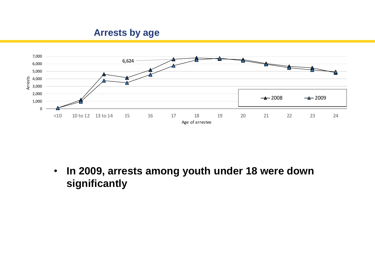

• **In 2009, arrests among youth under 18 were down significantly**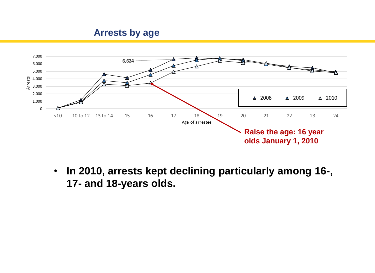

• **In 2010, arrests kept declining particularly among 16-, 17- and 18-years olds.**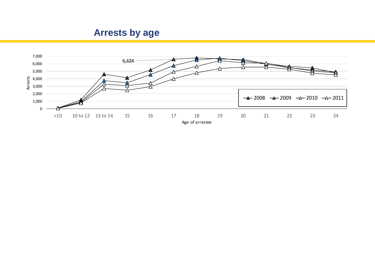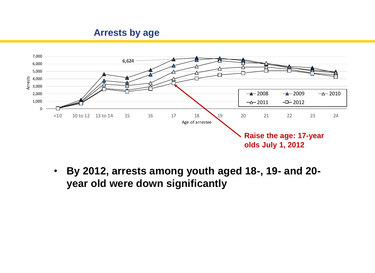

• **By 2012, arrests among youth aged 18-, 19- and 20 year old were down significantly**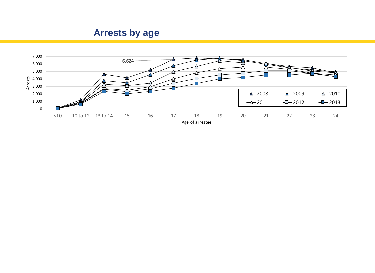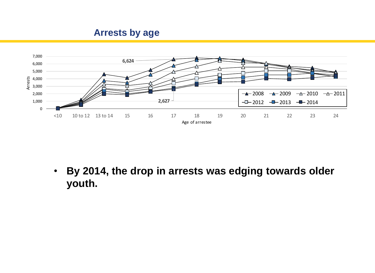

• **By 2014, the drop in arrests was edging towards older youth.**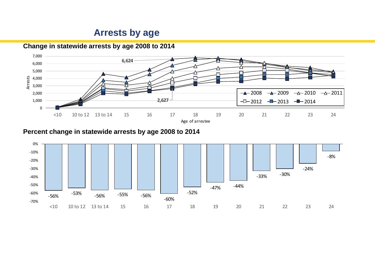

**Change in statewide arrests by age 2008 to 2014**

**Percent change in statewide arrests by age 2008 to 2014**

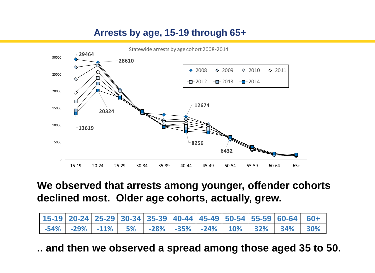# **Arrests by age, 15-19 through 65+**



# **We observed that arrests among younger, offender cohorts declined most. Older age cohorts, actually, grew.**

| $15-19$ 20-24 25-29 30-34 35-39 40-44 45-49 50-54 55-59 60-64 60+ |  |  |  |  |                                                                      |  |
|-------------------------------------------------------------------|--|--|--|--|----------------------------------------------------------------------|--|
|                                                                   |  |  |  |  | -54%   -29%   -11%   5%   -28%   -35%   -24%   10%   32%   34%   30% |  |

**.. and then we observed a spread among those aged 35 to 50. 15-19 20-24 25-29 30-34 35-39 40-44 45-49 50-54 55-59 60-64 60+**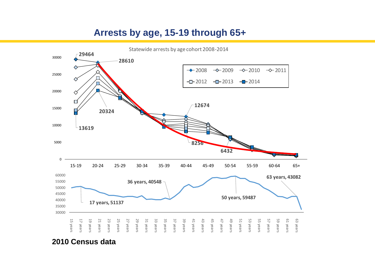## **Arrests by age, 15-19 through 65+**



**2010 Census data**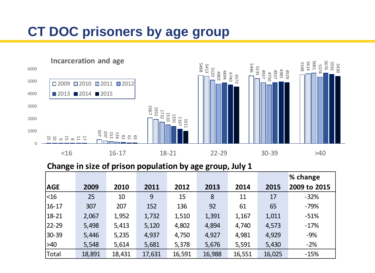# **CT DOC prisoners by age group**



|            |        |        |        |        |        |        |        | % change     |
|------------|--------|--------|--------|--------|--------|--------|--------|--------------|
| <b>AGE</b> | 2009   | 2010   | 2011   | 2012   | 2013   | 2014   | 2015   | 2009 to 2015 |
| $<$ 16     | 25     | 10     | 9      | 15     | 8      | 11     | 17     | $-32%$       |
| $16 - 17$  | 307    | 207    | 152    | 136    | 92     | 61     | 65     | $-79%$       |
| 18-21      | 2,067  | 1,952  | 1,732  | 1,510  | 1,391  | 1,167  | 1,011  | $-51%$       |
| 22-29      | 5,498  | 5,413  | 5,120  | 4,802  | 4,894  | 4,740  | 4,573  | $-17%$       |
| 30-39      | 5,446  | 5,235  | 4,937  | 4,750  | 4,927  | 4,981  | 4,929  | $-9%$        |
| $>40$      | 5,548  | 5,614  | 5,681  | 5,378  | 5,676  | 5,591  | 5,430  | $-2%$        |
| Total      | 18,891 | 18,431 | 17,631 | 16,591 | 16,988 | 16,551 | 16,025 | $-15%$       |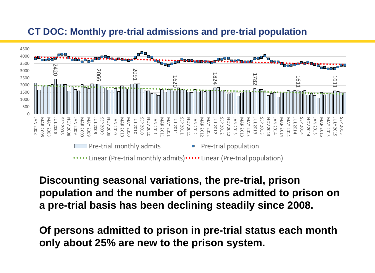## **CT DOC: Monthly pre-trial admissions and pre-trial population**



# **Discounting seasonal variations, the pre-trial, prison population and the number of persons admitted to prison on a pre-trial basis has been declining steadily since 2008.**

**Of persons admitted to prison in pre-trial status each month only about 25% are new to the prison system.**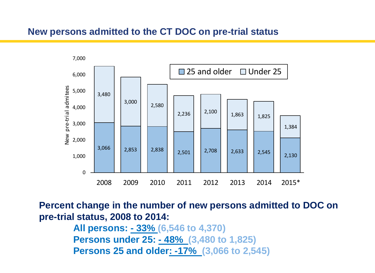#### **New persons admitted to the CT DOC on pre-trial status**



**Percent change in the number of new persons admitted to DOC on pre-trial status, 2008 to 2014:**

> **All persons: - 33% (6,546 to 4,370) Persons under 25: - 48% (3,480 to 1,825) Persons 25 and older: -17% (3,066 to 2,545)**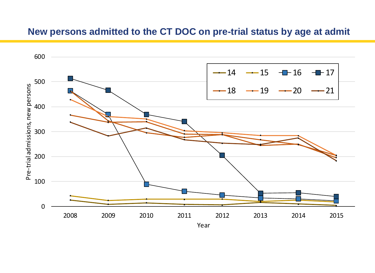## **New persons admitted to the CT DOC on pre-trial status by age at admit**